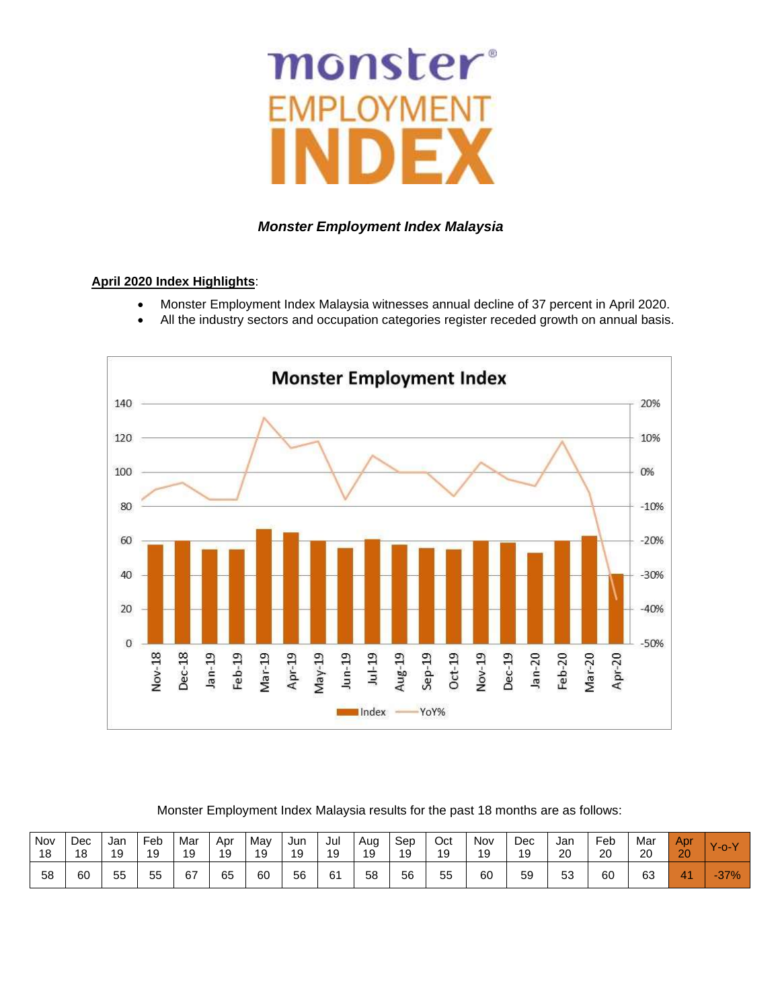# monster®

# *Monster Employment Index Malaysia*

# **April 2020 Index Highlights**:

- Monster Employment Index Malaysia witnesses annual decline of 37 percent in April 2020.
- All the industry sectors and occupation categories register receded growth on annual basis.



# Monster Employment Index Malaysia results for the past 18 months are as follows:

| Nov<br>18 | Dec<br>18 | Jan<br>19 | Feb<br>19 | Mar<br>19 | Apr<br>19 | May<br>19 | Jun<br>10<br>ے ، | Jul<br>19 | Aug<br>19 | Sep<br>19 | Oct<br>19 | Nov<br>19 | Dec<br>19 | Jan<br>20 | Feb<br>20 | Mar<br>20 | Apr<br>20 | v<br>'-o- |
|-----------|-----------|-----------|-----------|-----------|-----------|-----------|------------------|-----------|-----------|-----------|-----------|-----------|-----------|-----------|-----------|-----------|-----------|-----------|
| 58        | 60        | 55        | 55        | 67        | 65        | 60        | 56               | 61        | 58        | 56        | 55        | 60        | 59        | 53        | 60        | 63        | A A<br>w  | $-37%$    |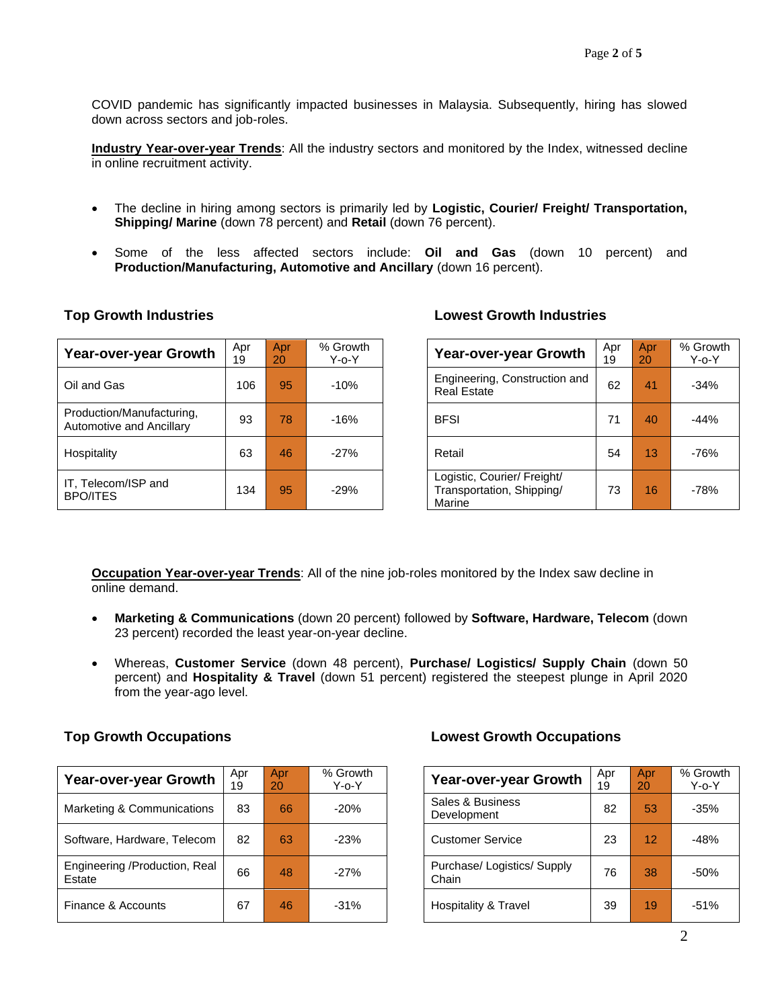COVID pandemic has significantly impacted businesses in Malaysia. Subsequently, hiring has slowed down across sectors and job-roles.

**Industry Year-over-year Trends**: All the industry sectors and monitored by the Index, witnessed decline in online recruitment activity.

- The decline in hiring among sectors is primarily led by **Logistic, Courier/ Freight/ Transportation, Shipping/ Marine** (down 78 percent) and **Retail** (down 76 percent).
- Some of the less affected sectors include: **Oil and Gas** (down 10 percent) and **Production/Manufacturing, Automotive and Ancillary** (down 16 percent).

| <b>Year-over-year Growth</b>                          | Apr<br>19 | Apr<br>20 | % Growth<br>$Y$ -o- $Y$ | <b>Year-over-year Growth</b>                                       | Apr<br>19 | Apr<br>20       | % Grov<br>Y-o-Y |
|-------------------------------------------------------|-----------|-----------|-------------------------|--------------------------------------------------------------------|-----------|-----------------|-----------------|
| Oil and Gas                                           | 106       | 95        | $-10%$                  | Engineering, Construction and<br><b>Real Estate</b>                | 62        | 41              | $-34%$          |
| Production/Manufacturing,<br>Automotive and Ancillary | 93        | 78        | $-16%$                  | <b>BFSI</b>                                                        | 71        | 40              | $-44%$          |
| Hospitality                                           | 63        | 46        | $-27%$                  | Retail                                                             | 54        | 13 <sub>1</sub> | $-76%$          |
| IT, Telecom/ISP and<br><b>BPO/ITES</b>                | 134       | 95        | $-29%$                  | Logistic, Courier/ Freight/<br>Transportation, Shipping/<br>Marine | 73        | 16              | $-78%$          |

# **Top Growth Industries Lowest Growth Industries**

| <b>Year-over-year Growth</b>                                       | Apr<br>19 | Apr<br>20 | % Growth<br>Y-o-Y |
|--------------------------------------------------------------------|-----------|-----------|-------------------|
| Engineering, Construction and<br><b>Real Estate</b>                | 62        | 41        | $-34%$            |
| <b>BFSI</b>                                                        | 71        | 40        | $-44%$            |
| Retail                                                             | 54        | 13        | -76%              |
| Logistic, Courier/ Freight/<br>Transportation, Shipping/<br>Marine | 73        | 16        | -78%              |

**Occupation Year-over-year Trends**: All of the nine job-roles monitored by the Index saw decline in online demand.

- **Marketing & Communications** (down 20 percent) followed by **Software, Hardware, Telecom** (down 23 percent) recorded the least year-on-year decline.
- Whereas, **Customer Service** (down 48 percent), **Purchase/ Logistics/ Supply Chain** (down 50 percent) and **Hospitality & Travel** (down 51 percent) registered the steepest plunge in April 2020 from the year-ago level.

| Year-over-year Growth                   | Apr<br>19 | Apr<br>20 | % Growth<br>$Y$ -o- $Y$ | Year-over-year Growth                | Apr<br>19 | Apr<br>20       | % Grow<br>$Y$ -o- $Y$ |
|-----------------------------------------|-----------|-----------|-------------------------|--------------------------------------|-----------|-----------------|-----------------------|
| Marketing & Communications              | 83        | 66        | $-20%$                  | Sales & Business<br>Development      | 82        | 53              | $-35%$                |
| Software, Hardware, Telecom             | 82        | 63        | $-23%$                  | <b>Customer Service</b>              | 23        | 12 <sup>1</sup> | $-48%$                |
| Engineering /Production, Real<br>Estate | 66        | 48        | $-27%$                  | Purchase/ Logistics/ Supply<br>Chain | 76        | 38              | $-50%$                |
| Finance & Accounts                      | 67        | 46        | $-31%$                  | Hospitality & Travel                 | 39        | 19              | $-51%$                |

# **Top Growth Occupations Lowest Growth Occupations**

| Year-over-year Growth              | Apr<br>19 | Apr<br>20 | % Growth<br>$Y$ -o- $Y$ |
|------------------------------------|-----------|-----------|-------------------------|
| Sales & Business<br>Development    | 82        | 53        | $-35%$                  |
| <b>Customer Service</b>            | 23        | 12        | $-48%$                  |
| Purchase/Logistics/Supply<br>Chain | 76        | 38        | $-50%$                  |
| Hospitality & Travel               | 39        | 19        | $-51%$                  |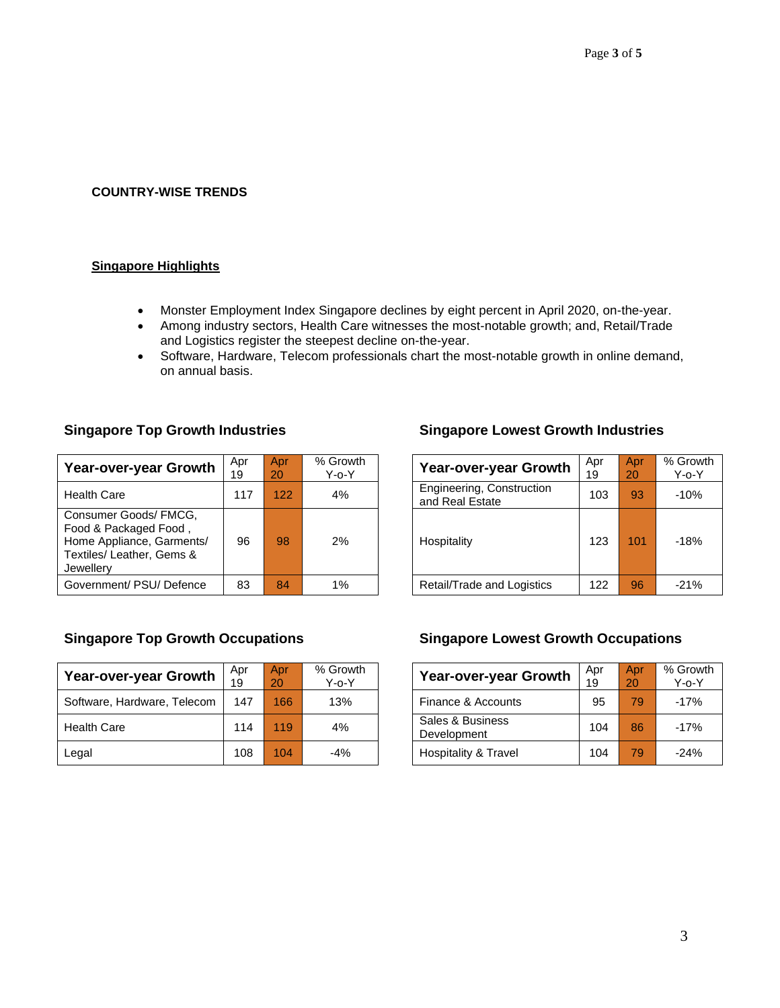# **COUNTRY-WISE TRENDS**

# **Singapore Highlights**

- Monster Employment Index Singapore declines by eight percent in April 2020, on-the-year.
- Among industry sectors, Health Care witnesses the most-notable growth; and, Retail/Trade and Logistics register the steepest decline on-the-year.
- Software, Hardware, Telecom professionals chart the most-notable growth in online demand, on annual basis.

| Year-over-year Growth                                                                                                 | Apr<br>19 | Apr.<br>20 | % Growth<br>$Y$ -o- $Y$ | <b>Year-over-year Growth</b>                 | Apr<br>19 | Apr<br>20 | % Grow<br>$Y$ -0- $Y$ |
|-----------------------------------------------------------------------------------------------------------------------|-----------|------------|-------------------------|----------------------------------------------|-----------|-----------|-----------------------|
| <b>Health Care</b>                                                                                                    | 117       | 122        | 4%                      | Engineering, Construction<br>and Real Estate | 103       | 93        | $-10%$                |
| Consumer Goods/ FMCG,<br>Food & Packaged Food,<br>Home Appliance, Garments/<br>Textiles/ Leather, Gems &<br>Jewellerv | 96        | 98         | 2%                      | Hospitality                                  | 123       | 101       | $-18%$                |
| Government/ PSU/ Defence                                                                                              | 83        | 84         | $1\%$                   | Retail/Trade and Logistics                   | 122       | 96        | $-21%$                |

| <b>Year-over-year Growth</b> | Apr<br>19 | Apr<br>20 | % Growth<br>$Y$ -o- $Y$ | <b>Year-over-year Growth</b>    | Apr<br>19 | Apr<br>20 | % Grow<br>Y-o-Y |
|------------------------------|-----------|-----------|-------------------------|---------------------------------|-----------|-----------|-----------------|
| Software, Hardware, Telecom  | 147       | 166       | 13%                     | Finance & Accounts              | 95        | 79.       | $-17%$          |
| <b>Health Care</b>           | 114       | 119       | 4%                      | Sales & Business<br>Development | 104       | 86        | $-17%$          |
| Legal                        | 108       | 104       | $-4%$                   | Hospitality & Travel            | 104       | 79.       | $-24%$          |

# **Singapore Top Growth Industries Singapore Lowest Growth Industries**

| pr<br>9 | Apr<br>20 | % Growth<br>$Y$ -o- $Y$ | <b>Year-over-year Growth</b>                 | Apr<br>19 | Apr<br>20 | % Growth<br>$Y$ -o- $Y$ |
|---------|-----------|-------------------------|----------------------------------------------|-----------|-----------|-------------------------|
| 117     | 122       | 4%                      | Engineering, Construction<br>and Real Estate | 103       | 93        | $-10%$                  |
| 96      | 98        | 2%                      | Hospitality                                  | 123       | 101       | $-18%$                  |
| 83      | 84        | 1%                      | Retail/Trade and Logistics                   | 122       | 96        | $-21%$                  |

# **Singapore Top Growth Occupations Singapore Lowest Growth Occupations**

| Year-over-year Growth           | Apr<br>19 | Apr<br>20 | % Growth<br>$Y$ -o- $Y$ |
|---------------------------------|-----------|-----------|-------------------------|
| Finance & Accounts              | 95        | 79        | $-17%$                  |
| Sales & Business<br>Development | 104       | 86        | $-17%$                  |
| <b>Hospitality &amp; Travel</b> | 104       | 79        | $-24%$                  |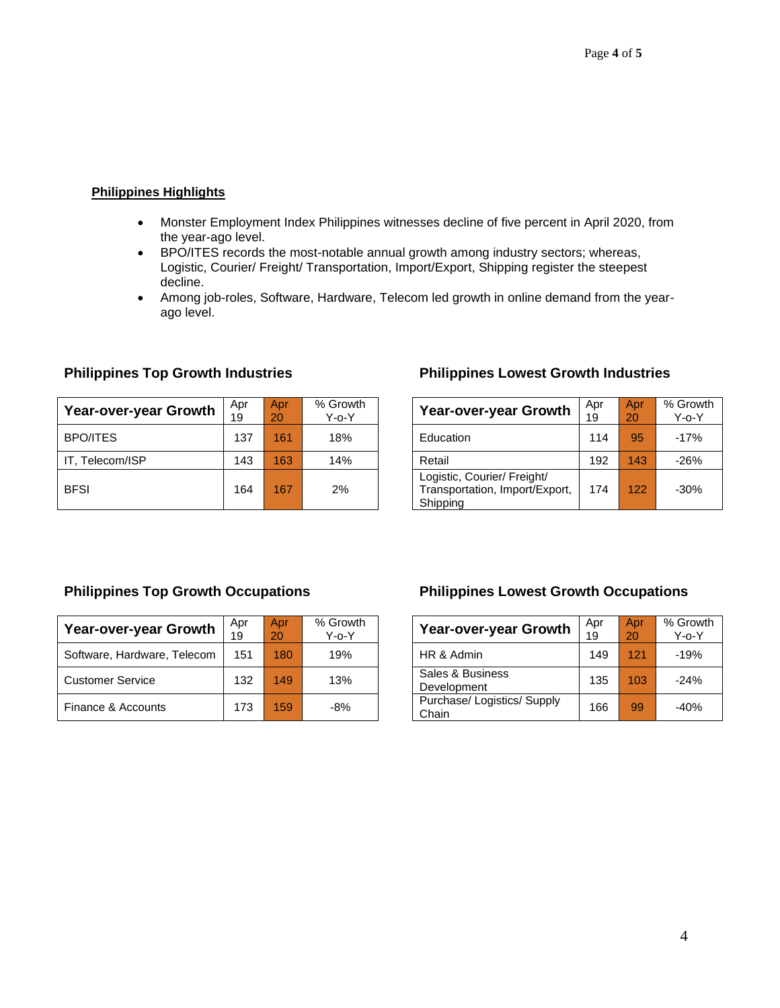# **Philippines Highlights**

- Monster Employment Index Philippines witnesses decline of five percent in April 2020, from the year-ago level.
- BPO/ITES records the most-notable annual growth among industry sectors; whereas, Logistic, Courier/ Freight/ Transportation, Import/Export, Shipping register the steepest decline.
- Among job-roles, Software, Hardware, Telecom led growth in online demand from the yearago level.

| Year-over-year Growth | Apr<br>19 | Apr.<br>20 | % Growth<br>Y-o-Y | <b>Year-over-year Growth</b>                                              | Apr<br>19 | Apr<br>20 | % Grow<br>Y-o-Y |
|-----------------------|-----------|------------|-------------------|---------------------------------------------------------------------------|-----------|-----------|-----------------|
| <b>BPO/ITES</b>       | 137       | 161        | 18%               | Education                                                                 | 114       | 95        | $-17%$          |
| IT. Telecom/ISP       | 143       | 163        | 14%               | Retail                                                                    | 192       | 143       | $-26%$          |
| <b>BFSI</b>           | 164       | 167        | 2%                | Logistic, Courier/ Freight/<br>Transportation, Import/Export,<br>Shipping | 174       | 122       | $-30%$          |

# **Philippines Top Growth Industries Philippines Lowest Growth Industries**

| Year-over-year Growth                                                     | Apr<br>19 | Apr<br>20 | % Growth<br>$Y$ -o- $Y$ |
|---------------------------------------------------------------------------|-----------|-----------|-------------------------|
| Education                                                                 | 114       | 95        | $-17%$                  |
| Retail                                                                    | 192       | 143       | $-26%$                  |
| Logistic, Courier/ Freight/<br>Transportation, Import/Export,<br>Shipping | 174       | 122       | $-30%$                  |

| <b>Year-over-year Growth</b> | Apr<br>19 | Apr<br>20 | % Growth<br>$Y$ -o- $Y$ | Year-over-year Growth              | Apr<br>19 | Apr<br>20 | % Grow<br>Y-o-Y |
|------------------------------|-----------|-----------|-------------------------|------------------------------------|-----------|-----------|-----------------|
| Software, Hardware, Telecom  | 151       | 180       | 19%                     | HR & Admin                         | 149       | 121       | $-19%$          |
| <b>Customer Service</b>      | 132       | 149       | 13%                     | Sales & Business<br>Development    | 135       | 103       | $-24%$          |
| Finance & Accounts           | 173       | 159       | $-8%$                   | Purchase/Logistics/Supply<br>Chain | 166       | 99        | $-40%$          |

# **Philippines Top Growth Occupations Philippines Lowest Growth Occupations**

| Year-over-year Growth              | Apr<br>19 | Apr<br>20 | % Growth<br>Y-o-Y |
|------------------------------------|-----------|-----------|-------------------|
| HR & Admin                         | 149       | 121       | $-19%$            |
| Sales & Business<br>Development    | 135       | 103       | $-24%$            |
| Purchase/Logistics/Supply<br>Chain | 166       | 99        | $-40%$            |